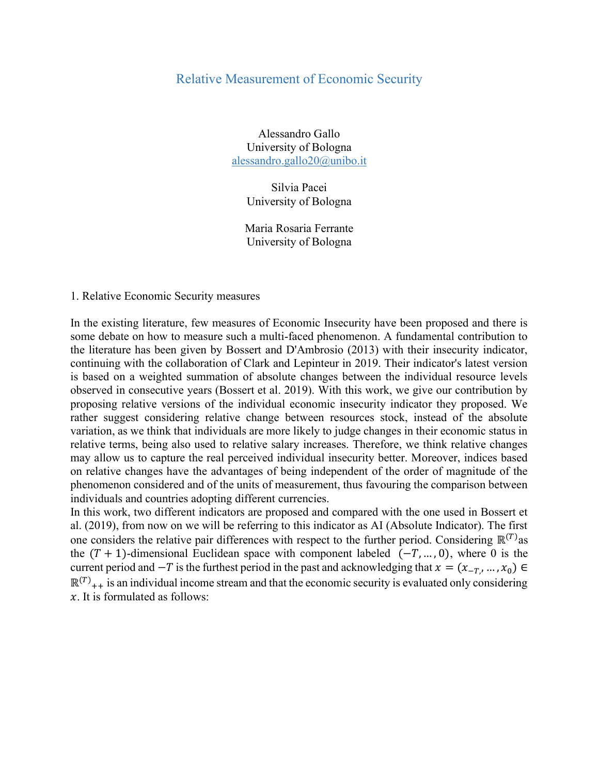## Relative Measurement of Economic Security

Alessandro Gallo University of Bologna alessandro.gallo20@unibo.it

> Silvia Pacei University of Bologna

Maria Rosaria Ferrante University of Bologna

## 1. Relative Economic Security measures

In the existing literature, few measures of Economic Insecurity have been proposed and there is some debate on how to measure such a multi-faced phenomenon. A fundamental contribution to the literature has been given by Bossert and D'Ambrosio (2013) with their insecurity indicator, continuing with the collaboration of Clark and Lepinteur in 2019. Their indicator's latest version is based on a weighted summation of absolute changes between the individual resource levels observed in consecutive years (Bossert et al. 2019). With this work, we give our contribution by proposing relative versions of the individual economic insecurity indicator they proposed. We rather suggest considering relative change between resources stock, instead of the absolute variation, as we think that individuals are more likely to judge changes in their economic status in relative terms, being also used to relative salary increases. Therefore, we think relative changes may allow us to capture the real perceived individual insecurity better. Moreover, indices based on relative changes have the advantages of being independent of the order of magnitude of the phenomenon considered and of the units of measurement, thus favouring the comparison between individuals and countries adopting different currencies.

In this work, two different indicators are proposed and compared with the one used in Bossert et al. (2019), from now on we will be referring to this indicator as AI (Absolute Indicator). The first one considers the relative pair differences with respect to the further period. Considering  $\mathbb{R}^{(T)}$ as the  $(T + 1)$ -dimensional Euclidean space with component labeled  $(-T, ..., 0)$ , where 0 is the current period and  $-T$  is the furthest period in the past and acknowledging that  $x = (x_{-T_1}, ..., x_0) \in$  $\mathbb{R}^{(T)}_{++}$  is an individual income stream and that the economic security is evaluated only considering  $x$ . It is formulated as follows: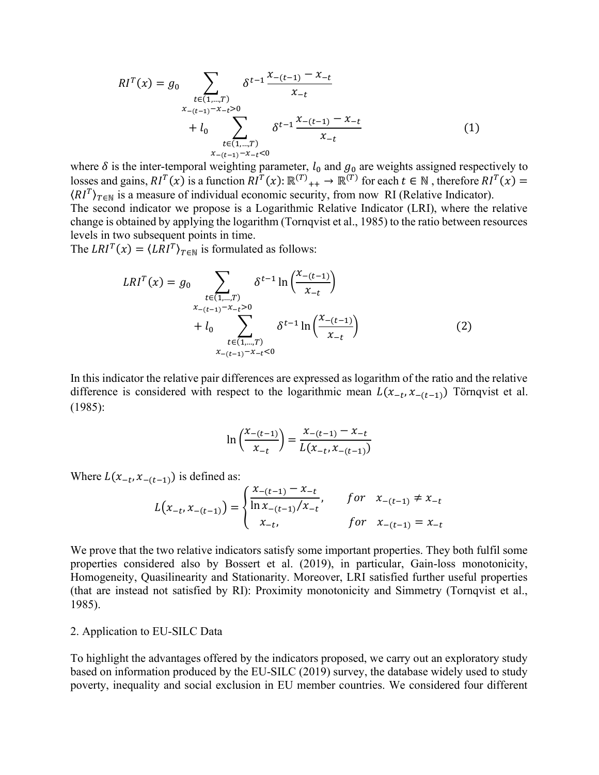$$
RI^{T}(x) = g_0 \sum_{\substack{t \in (1, \ldots, T) \\ x_{-(t-1)} - x_{-t} > 0 \\ +l_0 \sum_{\substack{t \in (1, \ldots, T) \\ x_{-(t-1)} - x_{-t} \le 0}} \delta^{t-1} \frac{x_{-(t-1)} - x_{-t}}{x_{-t}}}
$$
\n
$$
(1)
$$

where  $\delta$  is the inter-temporal weighting parameter,  $l_0$  and  $g_0$  are weights assigned respectively to losses and gains,  $RI^T(x)$  is a function  $RI^T(x)$ :  $\mathbb{R}^{(T)}$ <sub>++</sub>  $\rightarrow \mathbb{R}^{(T)}$  for each  $t \in \mathbb{N}$ , therefore  $RI^T(x) =$  $\langle RI^T \rangle_{T \in \mathbb{N}}$  is a measure of individual economic security, from now RI (Relative Indicator). The second indicator we propose is a Logarithmic Relative Indicator (LRI), where the relative

change is obtained by applying the logarithm (Tornqvist et al., 1985) to the ratio between resources levels in two subsequent points in time.

The  $LRI^{T}(x) = \langle LRI^{T} \rangle_{T \in \mathbb{N}}$  is formulated as follows:

$$
LRI^{T}(x) = g_0 \sum_{\substack{t \in (1, \dots, T) \\ x_{-(t-1)} - x_{-t} > 0}} \delta^{t-1} \ln \left( \frac{x_{-(t-1)}}{x_{-t}} \right) + l_0 \sum_{\substack{t \in (1, \dots, T) \\ x_{-(t-1)} - x_{-t} < 0}} \delta^{t-1} \ln \left( \frac{x_{-(t-1)}}{x_{-t}} \right)
$$
 (2)

In this indicator the relative pair differences are expressed as logarithm of the ratio and the relative difference is considered with respect to the logarithmic mean  $L(x_{-t}, x_{-(t-1)})$  Törnqvist et al. (1985):

$$
\ln\left(\frac{x_{-(t-1)}}{x_{-t}}\right) = \frac{x_{-(t-1)} - x_{-t}}{L(x_{-t}, x_{-(t-1)})}
$$

Where  $L(x_{-t}, x_{-(t-1)})$  is defined as:

$$
L(x_{-t}, x_{-(t-1)}) = \begin{cases} \frac{x_{-(t-1)} - x_{-t}}{\ln x_{-(t-1)}/x_{-t}}, & \text{for } x_{-(t-1)} \neq x_{-t} \\ x_{-t}, & \text{for } x_{-(t-1)} = x_{-t} \end{cases}
$$

We prove that the two relative indicators satisfy some important properties. They both fulfil some properties considered also by Bossert et al. (2019), in particular, Gain-loss monotonicity, Homogeneity, Quasilinearity and Stationarity. Moreover, LRI satisfied further useful properties (that are instead not satisfied by RI): Proximity monotonicity and Simmetry (Tornqvist et al., 1985).

## 2. Application to EU-SILC Data

To highlight the advantages offered by the indicators proposed, we carry out an exploratory study based on information produced by the EU-SILC (2019) survey, the database widely used to study poverty, inequality and social exclusion in EU member countries. We considered four different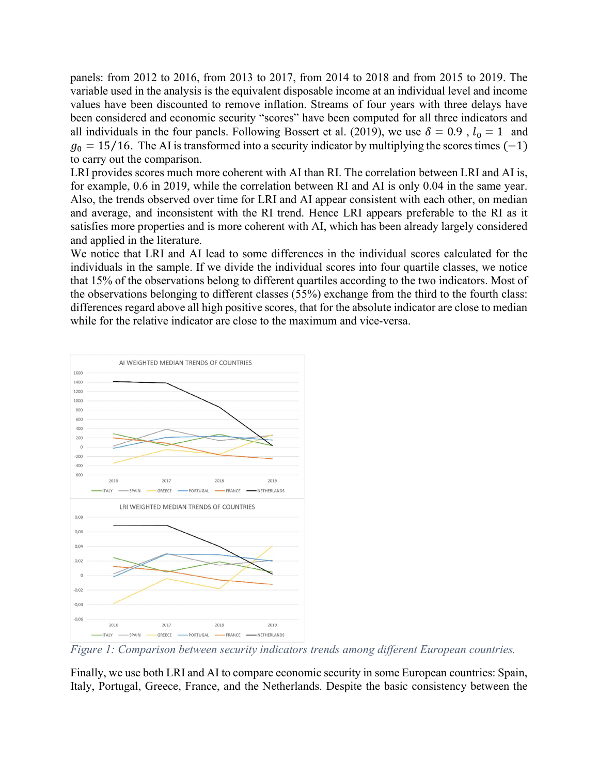panels: from 2012 to 2016, from 2013 to 2017, from 2014 to 2018 and from 2015 to 2019. The variable used in the analysis is the equivalent disposable income at an individual level and income values have been discounted to remove inflation. Streams of four years with three delays have been considered and economic security "scores" have been computed for all three indicators and all individuals in the four panels. Following Bossert et al. (2019), we use  $\delta = 0.9$ ,  $l_0 = 1$  and  $g_0 = 15/16$ . The AI is transformed into a security indicator by multiplying the scores times (-1) to carry out the comparison.

LRI provides scores much more coherent with AI than RI. The correlation between LRI and AI is, for example, 0.6 in 2019, while the correlation between RI and AI is only 0.04 in the same year. Also, the trends observed over time for LRI and AI appear consistent with each other, on median and average, and inconsistent with the RI trend. Hence LRI appears preferable to the RI as it satisfies more properties and is more coherent with AI, which has been already largely considered and applied in the literature.

We notice that LRI and AI lead to some differences in the individual scores calculated for the individuals in the sample. If we divide the individual scores into four quartile classes, we notice that 15% of the observations belong to different quartiles according to the two indicators. Most of the observations belonging to different classes (55%) exchange from the third to the fourth class: differences regard above all high positive scores, that for the absolute indicator are close to median while for the relative indicator are close to the maximum and vice-versa.



Figure 1: Comparison between security indicators trends among different European countries.

Finally, we use both LRI and AI to compare economic security in some European countries: Spain, Italy, Portugal, Greece, France, and the Netherlands. Despite the basic consistency between the